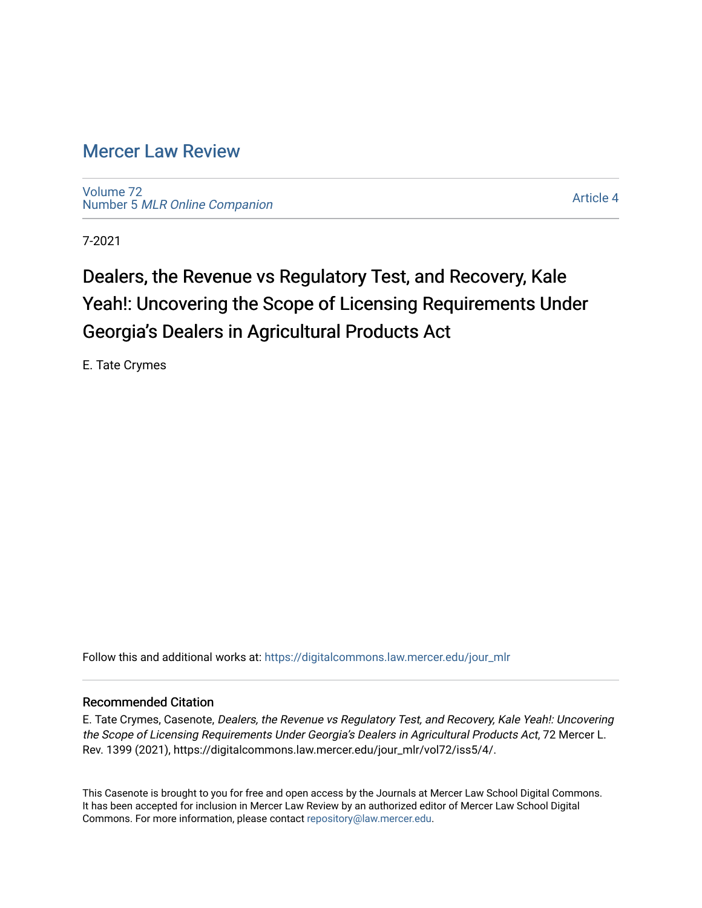### [Mercer Law Review](https://digitalcommons.law.mercer.edu/jour_mlr)

[Volume 72](https://digitalcommons.law.mercer.edu/jour_mlr/vol72) Number 5 [MLR Online Companion](https://digitalcommons.law.mercer.edu/jour_mlr/vol72/iss5) 

[Article 4](https://digitalcommons.law.mercer.edu/jour_mlr/vol72/iss5/4) 

7-2021

## Dealers, the Revenue vs Regulatory Test, and Recovery, Kale Yeah!: Uncovering the Scope of Licensing Requirements Under Georgia's Dealers in Agricultural Products Act

E. Tate Crymes

Follow this and additional works at: [https://digitalcommons.law.mercer.edu/jour\\_mlr](https://digitalcommons.law.mercer.edu/jour_mlr?utm_source=digitalcommons.law.mercer.edu%2Fjour_mlr%2Fvol72%2Fiss5%2F4&utm_medium=PDF&utm_campaign=PDFCoverPages)

### Recommended Citation

E. Tate Crymes, Casenote, Dealers, the Revenue vs Regulatory Test, and Recovery, Kale Yeah!: Uncovering the Scope of Licensing Requirements Under Georgia's Dealers in Agricultural Products Act, 72 Mercer L. Rev. 1399 (2021), https://digitalcommons.law.mercer.edu/jour\_mlr/vol72/iss5/4/.

This Casenote is brought to you for free and open access by the Journals at Mercer Law School Digital Commons. It has been accepted for inclusion in Mercer Law Review by an authorized editor of Mercer Law School Digital Commons. For more information, please contact [repository@law.mercer.edu.](mailto:repository@law.mercer.edu)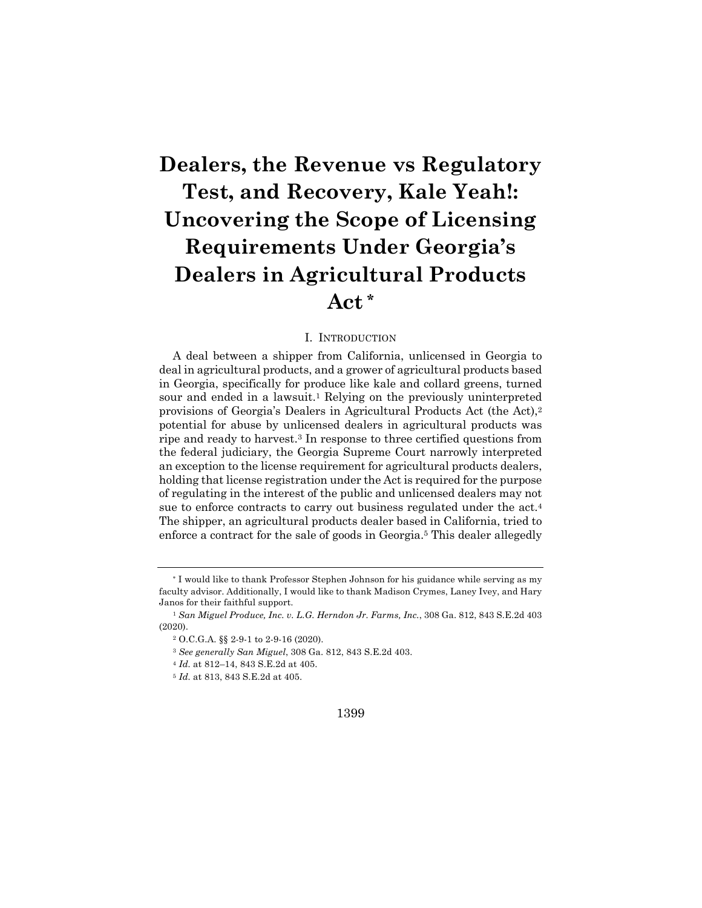# **Dealers, the Revenue vs Regulatory Test, and Recovery, Kale Yeah!: Uncovering the Scope of Licensing Requirements Under Georgia's Dealers in Agricultural Products Act \***

#### I. INTRODUCTION

A deal between a shipper from California, unlicensed in Georgia to deal in agricultural products, and a grower of agricultural products based in Georgia, specifically for produce like kale and collard greens, turned sour and ended in a lawsuit.<sup>1</sup> Relying on the previously uninterpreted provisions of Georgia's Dealers in Agricultural Products Act (the Act),2 potential for abuse by unlicensed dealers in agricultural products was ripe and ready to harvest.3 In response to three certified questions from the federal judiciary, the Georgia Supreme Court narrowly interpreted an exception to the license requirement for agricultural products dealers, holding that license registration under the Act is required for the purpose of regulating in the interest of the public and unlicensed dealers may not sue to enforce contracts to carry out business regulated under the act.4 The shipper, an agricultural products dealer based in California, tried to enforce a contract for the sale of goods in Georgia.5 This dealer allegedly

#### 1399

<sup>\*</sup> I would like to thank Professor Stephen Johnson for his guidance while serving as my faculty advisor. Additionally, I would like to thank Madison Crymes, Laney Ivey, and Hary Janos for their faithful support.

<sup>1</sup> *San Miguel Produce, Inc. v. L.G. Herndon Jr. Farms, Inc.*, 308 Ga. 812, 843 S.E.2d 403 (2020).

<sup>2</sup> O.C.G.A. §§ 2-9-1 to 2-9-16 (2020).

<sup>3</sup> *See generally San Miguel*, 308 Ga. 812, 843 S.E.2d 403.

<sup>4</sup> *Id.* at 812–14, 843 S.E.2d at 405.

<sup>5</sup> *Id.* at 813, 843 S.E.2d at 405.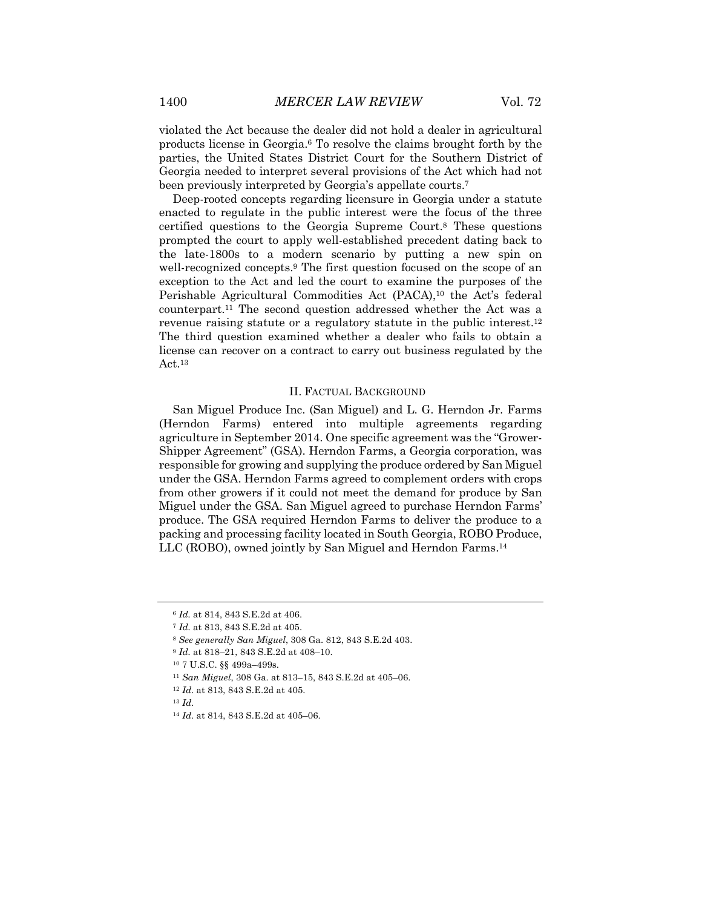violated the Act because the dealer did not hold a dealer in agricultural products license in Georgia.6 To resolve the claims brought forth by the parties, the United States District Court for the Southern District of Georgia needed to interpret several provisions of the Act which had not been previously interpreted by Georgia's appellate courts.7

Deep-rooted concepts regarding licensure in Georgia under a statute enacted to regulate in the public interest were the focus of the three certified questions to the Georgia Supreme Court.8 These questions prompted the court to apply well-established precedent dating back to the late-1800s to a modern scenario by putting a new spin on well-recognized concepts.9 The first question focused on the scope of an exception to the Act and led the court to examine the purposes of the Perishable Agricultural Commodities Act (PACA),<sup>10</sup> the Act's federal counterpart.11 The second question addressed whether the Act was a revenue raising statute or a regulatory statute in the public interest.12 The third question examined whether a dealer who fails to obtain a license can recover on a contract to carry out business regulated by the Act.13

#### II. FACTUAL BACKGROUND

San Miguel Produce Inc. (San Miguel) and L. G. Herndon Jr. Farms (Herndon Farms) entered into multiple agreements regarding agriculture in September 2014. One specific agreement was the "Grower-Shipper Agreement" (GSA). Herndon Farms, a Georgia corporation, was responsible for growing and supplying the produce ordered by San Miguel under the GSA. Herndon Farms agreed to complement orders with crops from other growers if it could not meet the demand for produce by San Miguel under the GSA. San Miguel agreed to purchase Herndon Farms' produce. The GSA required Herndon Farms to deliver the produce to a packing and processing facility located in South Georgia, ROBO Produce, LLC (ROBO), owned jointly by San Miguel and Herndon Farms.14

<sup>6</sup> *Id.* at 814, 843 S.E.2d at 406.

<sup>7</sup> *Id.* at 813, 843 S.E.2d at 405.

<sup>8</sup> *See generally San Miguel*, 308 Ga. 812, 843 S.E.2d 403.

<sup>9</sup> *Id.* at 818–21, 843 S.E.2d at 408–10.

<sup>10</sup> 7 U.S.C. §§ 499a–499s.

<sup>11</sup> *San Miguel*, 308 Ga. at 813–15, 843 S.E.2d at 405–06.

<sup>12</sup> *Id.* at 813, 843 S.E.2d at 405.

<sup>13</sup> *Id.*

<sup>14</sup> *Id.* at 814, 843 S.E.2d at 405–06.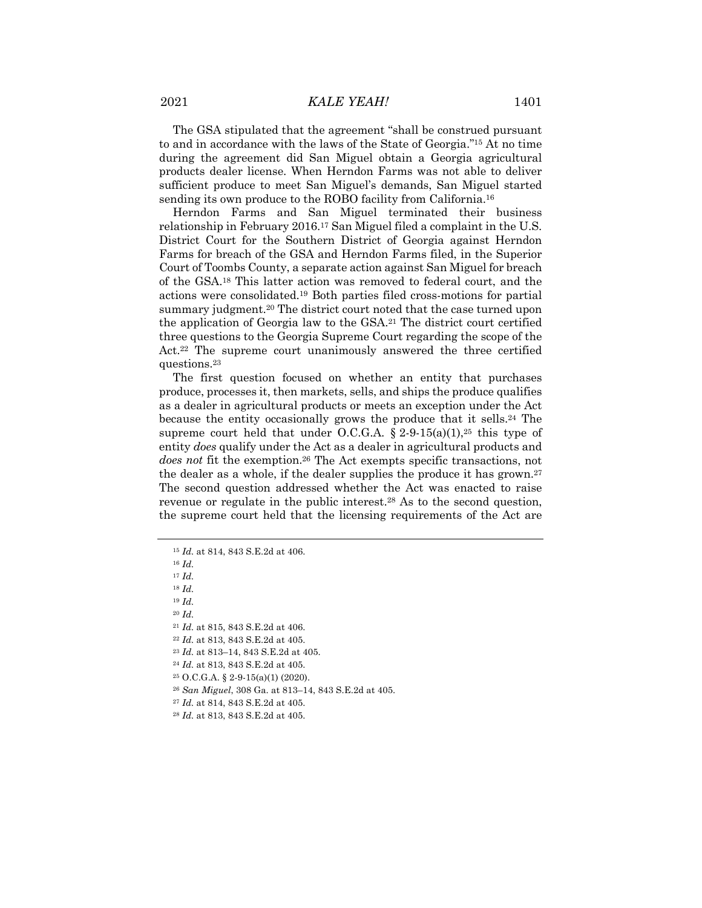2021 *KALE YEAH!* 1401

The GSA stipulated that the agreement "shall be construed pursuant to and in accordance with the laws of the State of Georgia."15 At no time during the agreement did San Miguel obtain a Georgia agricultural products dealer license. When Herndon Farms was not able to deliver sufficient produce to meet San Miguel's demands, San Miguel started sending its own produce to the ROBO facility from California.<sup>16</sup>

Herndon Farms and San Miguel terminated their business relationship in February 2016.17 San Miguel filed a complaint in the U.S. District Court for the Southern District of Georgia against Herndon Farms for breach of the GSA and Herndon Farms filed, in the Superior Court of Toombs County, a separate action against San Miguel for breach of the GSA.18 This latter action was removed to federal court, and the actions were consolidated.19 Both parties filed cross-motions for partial summary judgment.20 The district court noted that the case turned upon the application of Georgia law to the GSA.21 The district court certified three questions to the Georgia Supreme Court regarding the scope of the Act.<sup>22</sup> The supreme court unanimously answered the three certified questions.23

The first question focused on whether an entity that purchases produce, processes it, then markets, sells, and ships the produce qualifies as a dealer in agricultural products or meets an exception under the Act because the entity occasionally grows the produce that it sells.24 The supreme court held that under O.C.G.A.  $\S 2-9-15(a)(1),^{25}$  this type of entity *does* qualify under the Act as a dealer in agricultural products and *does not* fit the exemption.26 The Act exempts specific transactions, not the dealer as a whole, if the dealer supplies the produce it has grown.27 The second question addressed whether the Act was enacted to raise revenue or regulate in the public interest.28 As to the second question, the supreme court held that the licensing requirements of the Act are

<sup>16</sup> *Id.*

<sup>17</sup> *Id.*

<sup>18</sup> *Id.*

<sup>19</sup> *Id.*

<sup>20</sup> *Id.*

<sup>21</sup> *Id.* at 815, 843 S.E.2d at 406.

<sup>22</sup> *Id.* at 813, 843 S.E.2d at 405.

<sup>23</sup> *Id.* at 813–14, 843 S.E.2d at 405.

<sup>24</sup> *Id.* at 813, 843 S.E.2d at 405.

<sup>25</sup> O.C.G.A. § 2-9-15(a)(1) (2020).

<sup>26</sup> *San Miguel*, 308 Ga. at 813–14, 843 S.E.2d at 405.

<sup>27</sup> *Id.* at 814, 843 S.E.2d at 405.

<sup>28</sup> *Id.* at 813, 843 S.E.2d at 405.

<sup>15</sup> *Id.* at 814, 843 S.E.2d at 406.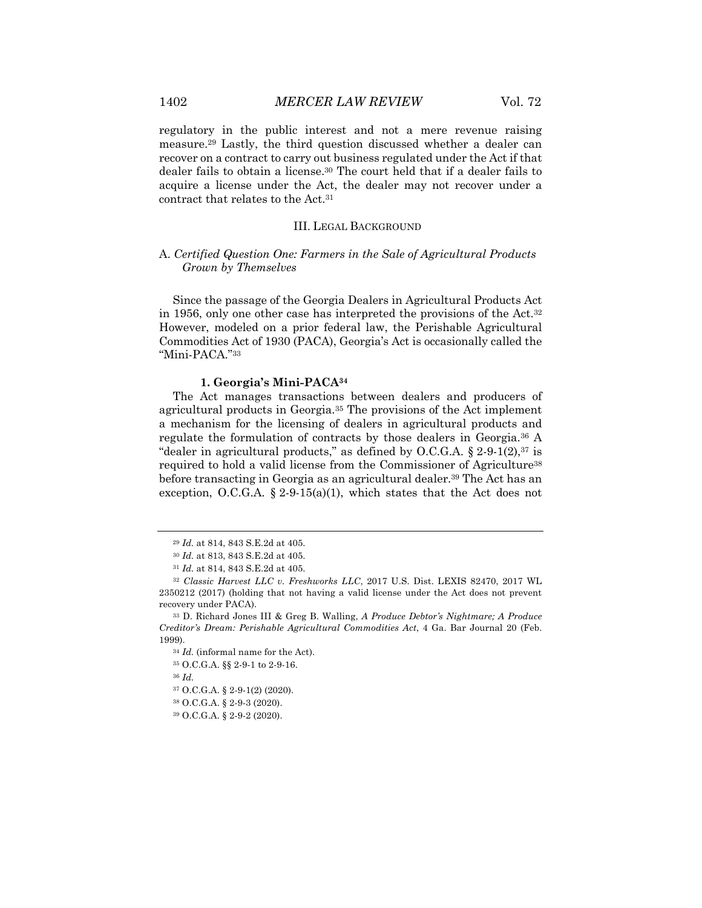regulatory in the public interest and not a mere revenue raising measure.29 Lastly, the third question discussed whether a dealer can recover on a contract to carry out business regulated under the Act if that dealer fails to obtain a license.30 The court held that if a dealer fails to acquire a license under the Act, the dealer may not recover under a contract that relates to the Act.31

#### III. LEGAL BACKGROUND

#### A. *Certified Question One: Farmers in the Sale of Agricultural Products Grown by Themselves*

Since the passage of the Georgia Dealers in Agricultural Products Act in 1956, only one other case has interpreted the provisions of the Act.32 However, modeled on a prior federal law, the Perishable Agricultural Commodities Act of 1930 (PACA), Georgia's Act is occasionally called the "Mini-PACA."33

#### **1. Georgia's Mini-PACA34**

The Act manages transactions between dealers and producers of agricultural products in Georgia.35 The provisions of the Act implement a mechanism for the licensing of dealers in agricultural products and regulate the formulation of contracts by those dealers in Georgia.36 A "dealer in agricultural products," as defined by O.C.G.A.  $\S 2.9.1(2)$ ,  $37$  is required to hold a valid license from the Commissioner of Agriculture<sup>38</sup> before transacting in Georgia as an agricultural dealer.39 The Act has an exception, O.C.G.A.  $\S 2-9-15(a)(1)$ , which states that the Act does not

<sup>34</sup> *Id.* (informal name for the Act).

<sup>35</sup> O.C.G.A. §§ 2-9-1 to 2-9-16.

<sup>36</sup> *Id.*

<sup>37</sup> O.C.G.A. § 2-9-1(2) (2020).

<sup>38</sup> O.C.G.A. § 2-9-3 (2020).

<sup>39</sup> O.C.G.A. § 2-9-2 (2020).

<sup>29</sup> *Id.* at 814, 843 S.E.2d at 405.

<sup>30</sup> *Id.* at 813, 843 S.E.2d at 405.

<sup>31</sup> *Id.* at 814, 843 S.E.2d at 405.

<sup>32</sup> *Classic Harvest LLC v. Freshworks LLC*, 2017 U.S. Dist. LEXIS 82470, 2017 WL 2350212 (2017) (holding that not having a valid license under the Act does not prevent recovery under PACA).

<sup>33</sup> D. Richard Jones III & Greg B. Walling, *A Produce Debtor's Nightmare; A Produce Creditor's Dream: Perishable Agricultural Commodities Act*, 4 Ga. Bar Journal 20 (Feb. 1999).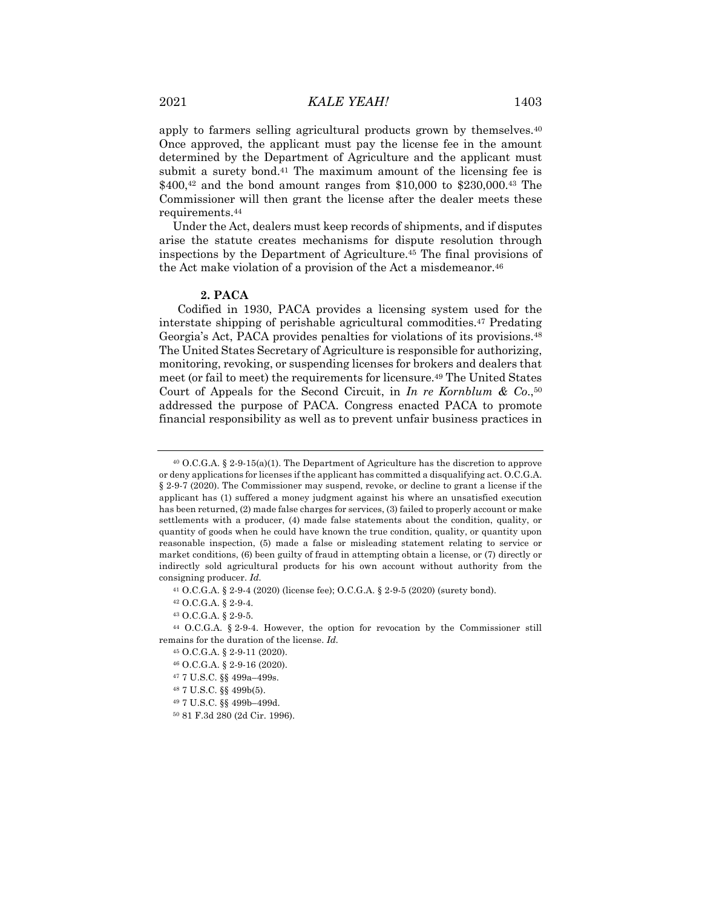apply to farmers selling agricultural products grown by themselves.<sup>40</sup> Once approved, the applicant must pay the license fee in the amount determined by the Department of Agriculture and the applicant must submit a surety bond.<sup>41</sup> The maximum amount of the licensing fee is \$400,42 and the bond amount ranges from \$10,000 to \$230,000.43 The Commissioner will then grant the license after the dealer meets these requirements.44

Under the Act, dealers must keep records of shipments, and if disputes arise the statute creates mechanisms for dispute resolution through inspections by the Department of Agriculture.45 The final provisions of the Act make violation of a provision of the Act a misdemeanor.46

#### **2. PACA**

Codified in 1930, PACA provides a licensing system used for the interstate shipping of perishable agricultural commodities.47 Predating Georgia's Act, PACA provides penalties for violations of its provisions.48 The United States Secretary of Agriculture is responsible for authorizing, monitoring, revoking, or suspending licenses for brokers and dealers that meet (or fail to meet) the requirements for licensure.49 The United States Court of Appeals for the Second Circuit, in *In re Kornblum & Co*.,50 addressed the purpose of PACA. Congress enacted PACA to promote financial responsibility as well as to prevent unfair business practices in

<sup>46</sup> O.C.G.A. § 2-9-16 (2020).

- <sup>48</sup> 7 U.S.C. §§ 499b(5).
- <sup>49</sup> 7 U.S.C. §§ 499b–499d.

<sup>40</sup> O.C.G.A. § 2-9-15(a)(1). The Department of Agriculture has the discretion to approve or deny applications for licenses if the applicant has committed a disqualifying act. O.C.G.A. § 2-9-7 (2020). The Commissioner may suspend, revoke, or decline to grant a license if the applicant has (1) suffered a money judgment against his where an unsatisfied execution has been returned, (2) made false charges for services, (3) failed to properly account or make settlements with a producer, (4) made false statements about the condition, quality, or quantity of goods when he could have known the true condition, quality, or quantity upon reasonable inspection, (5) made a false or misleading statement relating to service or market conditions, (6) been guilty of fraud in attempting obtain a license, or (7) directly or indirectly sold agricultural products for his own account without authority from the consigning producer. *Id.*

<sup>41</sup> O.C.G.A. § 2-9-4 (2020) (license fee); O.C.G.A. § 2-9-5 (2020) (surety bond).

<sup>42</sup> O.C.G.A. § 2-9-4.

<sup>43</sup> O.C.G.A. § 2-9-5.

<sup>44</sup> O.C.G.A. § 2-9-4. However, the option for revocation by the Commissioner still remains for the duration of the license. *Id.*

<sup>45</sup> O.C.G.A. § 2-9-11 (2020).

<sup>47</sup> 7 U.S.C. §§ 499a–499s.

<sup>50</sup> 81 F.3d 280 (2d Cir. 1996).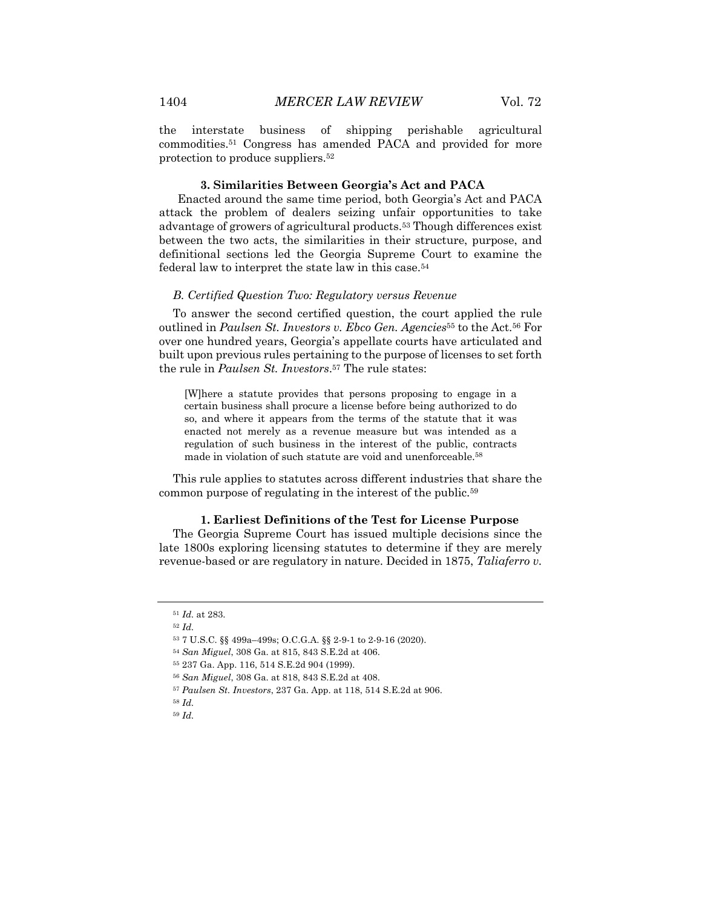the interstate business of shipping perishable agricultural commodities.51 Congress has amended PACA and provided for more protection to produce suppliers.52

#### **3. Similarities Between Georgia's Act and PACA**

Enacted around the same time period, both Georgia's Act and PACA attack the problem of dealers seizing unfair opportunities to take advantage of growers of agricultural products.53 Though differences exist between the two acts, the similarities in their structure, purpose, and definitional sections led the Georgia Supreme Court to examine the federal law to interpret the state law in this case.54

#### *B. Certified Question Two: Regulatory versus Revenue*

To answer the second certified question, the court applied the rule outlined in *Paulsen St. Investors v. Ebco Gen. Agencies*<sup>55</sup> to the Act.56 For over one hundred years, Georgia's appellate courts have articulated and built upon previous rules pertaining to the purpose of licenses to set forth the rule in *Paulsen St. Investors*.57 The rule states:

[W]here a statute provides that persons proposing to engage in a certain business shall procure a license before being authorized to do so, and where it appears from the terms of the statute that it was enacted not merely as a revenue measure but was intended as a regulation of such business in the interest of the public, contracts made in violation of such statute are void and unenforceable.58

This rule applies to statutes across different industries that share the common purpose of regulating in the interest of the public.59

#### **1. Earliest Definitions of the Test for License Purpose**

The Georgia Supreme Court has issued multiple decisions since the late 1800s exploring licensing statutes to determine if they are merely revenue-based or are regulatory in nature. Decided in 1875, *Taliaferro v.* 

<sup>51</sup> *Id.* at 283.

<sup>52</sup> *Id.*

<sup>53</sup> 7 U.S.C. §§ 499a–499s; O.C.G.A. §§ 2-9-1 to 2-9-16 (2020).

<sup>54</sup> *San Miguel*, 308 Ga. at 815, 843 S.E.2d at 406.

<sup>55</sup> 237 Ga. App. 116, 514 S.E.2d 904 (1999).

<sup>56</sup> *San Miguel*, 308 Ga. at 818, 843 S.E.2d at 408.

<sup>57</sup> *Paulsen St. Investors*, 237 Ga. App. at 118, 514 S.E.2d at 906.

<sup>58</sup> *Id.*

<sup>59</sup> *Id.*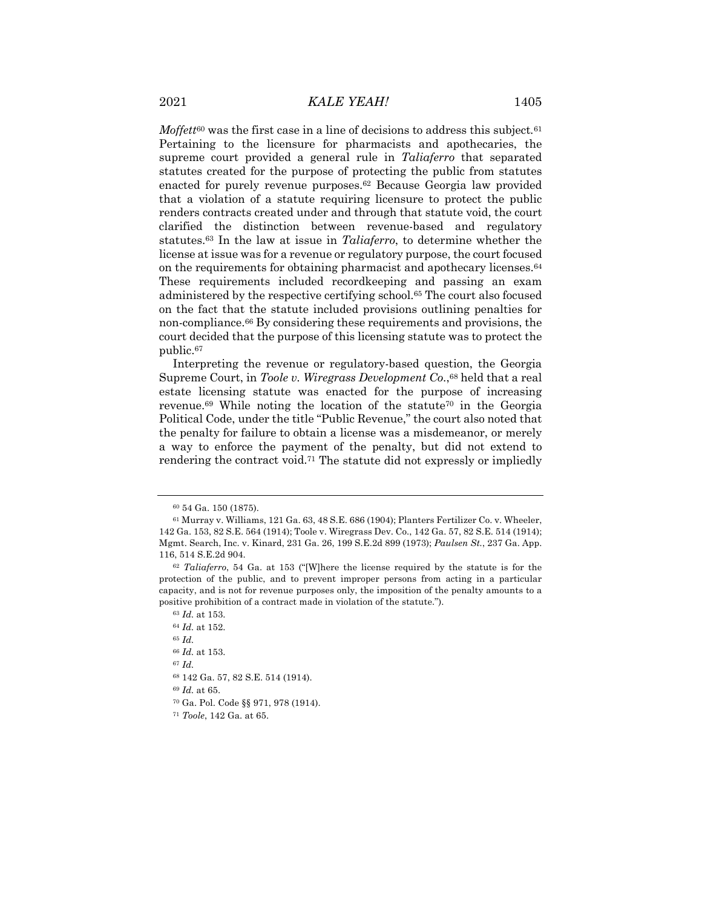*Moffett*<sup>60</sup> was the first case in a line of decisions to address this subject*.*<sup>61</sup> Pertaining to the licensure for pharmacists and apothecaries, the supreme court provided a general rule in *Taliaferro* that separated statutes created for the purpose of protecting the public from statutes enacted for purely revenue purposes.62 Because Georgia law provided that a violation of a statute requiring licensure to protect the public renders contracts created under and through that statute void, the court clarified the distinction between revenue-based and regulatory statutes.63 In the law at issue in *Taliaferro*, to determine whether the license at issue was for a revenue or regulatory purpose, the court focused on the requirements for obtaining pharmacist and apothecary licenses.64 These requirements included recordkeeping and passing an exam administered by the respective certifying school.65 The court also focused on the fact that the statute included provisions outlining penalties for non-compliance.66 By considering these requirements and provisions, the court decided that the purpose of this licensing statute was to protect the public.67

Interpreting the revenue or regulatory-based question, the Georgia Supreme Court, in *Toole v. Wiregrass Development Co*.,68 held that a real estate licensing statute was enacted for the purpose of increasing revenue.<sup>69</sup> While noting the location of the statute<sup>70</sup> in the Georgia Political Code, under the title "Public Revenue," the court also noted that the penalty for failure to obtain a license was a misdemeanor, or merely a way to enforce the payment of the penalty, but did not extend to rendering the contract void.71 The statute did not expressly or impliedly

<sup>67</sup> *Id.*

<sup>69</sup> *Id.* at 65.

<sup>70</sup> Ga. Pol. Code §§ 971, 978 (1914).

<sup>60</sup> 54 Ga. 150 (1875).

<sup>61</sup> Murray v. Williams, 121 Ga. 63, 48 S.E. 686 (1904); Planters Fertilizer Co. v. Wheeler, 142 Ga. 153, 82 S.E. 564 (1914); Toole v. Wiregrass Dev. Co., 142 Ga. 57, 82 S.E. 514 (1914); Mgmt. Search, Inc. v. Kinard, 231 Ga. 26, 199 S.E.2d 899 (1973); *Paulsen St.*, 237 Ga. App. 116, 514 S.E.2d 904.

<sup>62</sup> *Taliaferro*, 54 Ga. at 153 ("[W]here the license required by the statute is for the protection of the public, and to prevent improper persons from acting in a particular capacity, and is not for revenue purposes only, the imposition of the penalty amounts to a positive prohibition of a contract made in violation of the statute.").

<sup>63</sup> *Id.* at 153.

<sup>64</sup> *Id.* at 152.

<sup>65</sup> *Id.*

<sup>66</sup> *Id.* at 153.

<sup>68</sup> 142 Ga. 57, 82 S.E. 514 (1914).

<sup>71</sup> *Toole*, 142 Ga. at 65.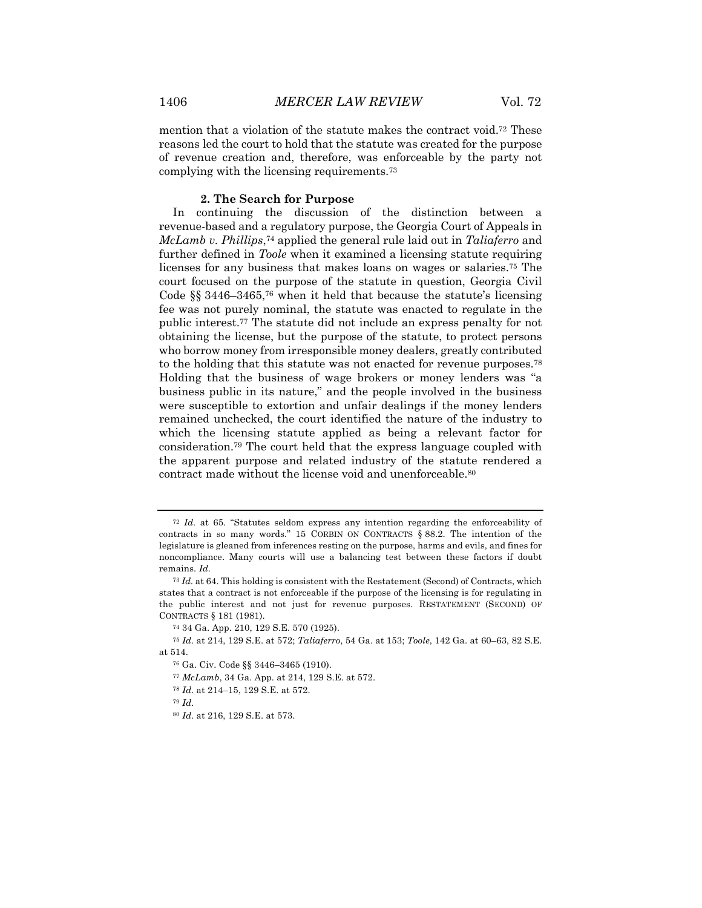mention that a violation of the statute makes the contract void.72 These reasons led the court to hold that the statute was created for the purpose of revenue creation and, therefore, was enforceable by the party not complying with the licensing requirements.73

#### **2. The Search for Purpose**

In continuing the discussion of the distinction between a revenue-based and a regulatory purpose, the Georgia Court of Appeals in *McLamb v. Phillips*,74 applied the general rule laid out in *Taliaferro* and further defined in *Toole* when it examined a licensing statute requiring licenses for any business that makes loans on wages or salaries.75 The court focused on the purpose of the statute in question, Georgia Civil Code §§ 3446–3465,<sup>76</sup> when it held that because the statute's licensing fee was not purely nominal, the statute was enacted to regulate in the public interest.77 The statute did not include an express penalty for not obtaining the license, but the purpose of the statute, to protect persons who borrow money from irresponsible money dealers, greatly contributed to the holding that this statute was not enacted for revenue purposes.78 Holding that the business of wage brokers or money lenders was "a business public in its nature," and the people involved in the business were susceptible to extortion and unfair dealings if the money lenders remained unchecked, the court identified the nature of the industry to which the licensing statute applied as being a relevant factor for consideration.79 The court held that the express language coupled with the apparent purpose and related industry of the statute rendered a contract made without the license void and unenforceable.80

- <sup>77</sup> *McLamb*, 34 Ga. App. at 214, 129 S.E. at 572.
- <sup>78</sup> *Id.* at 214–15, 129 S.E. at 572.
- <sup>79</sup> *Id.*

<sup>72</sup> *Id.* at 65. "Statutes seldom express any intention regarding the enforceability of contracts in so many words." 15 CORBIN ON CONTRACTS § 88.2. The intention of the legislature is gleaned from inferences resting on the purpose, harms and evils, and fines for noncompliance. Many courts will use a balancing test between these factors if doubt remains. *Id.*

<sup>73</sup> *Id.* at 64. This holding is consistent with the Restatement (Second) of Contracts, which states that a contract is not enforceable if the purpose of the licensing is for regulating in the public interest and not just for revenue purposes. RESTATEMENT (SECOND) OF CONTRACTS § 181 (1981).

<sup>74</sup> 34 Ga. App. 210, 129 S.E. 570 (1925).

<sup>75</sup> *Id.* at 214, 129 S.E. at 572; *Taliaferro*, 54 Ga. at 153; *Toole*, 142 Ga. at 60–63, 82 S.E. at 514.

<sup>76</sup> Ga. Civ. Code §§ 3446–3465 (1910).

<sup>80</sup> *Id.* at 216, 129 S.E. at 573.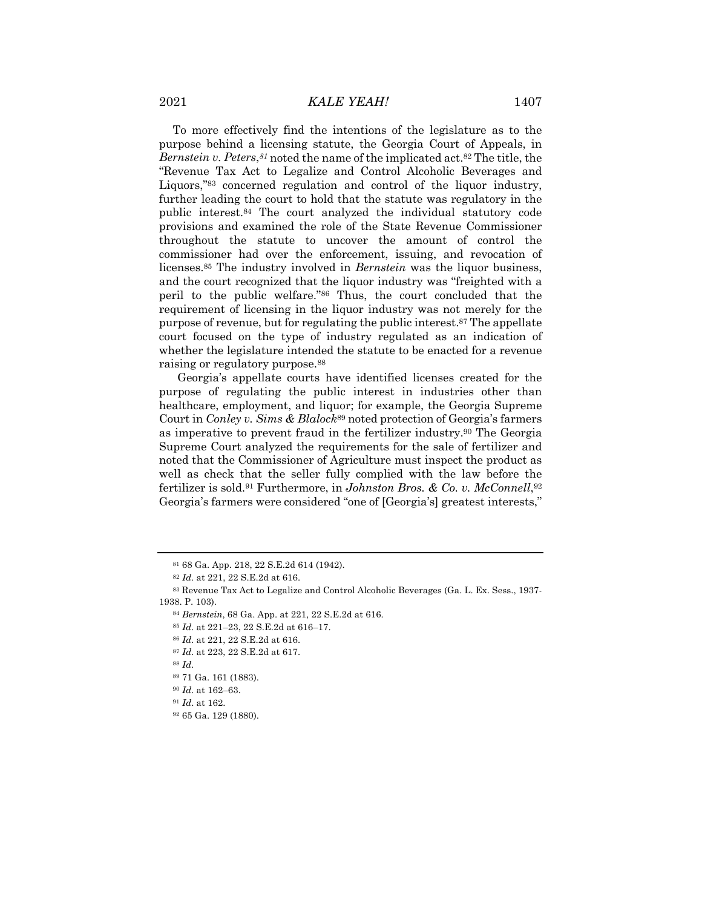To more effectively find the intentions of the legislature as to the purpose behind a licensing statute, the Georgia Court of Appeals, in *Bernstein v. Peters*,*<sup>81</sup>* noted the name of the implicated act.82 The title, the "Revenue Tax Act to Legalize and Control Alcoholic Beverages and Liquors,"83 concerned regulation and control of the liquor industry, further leading the court to hold that the statute was regulatory in the public interest.84 The court analyzed the individual statutory code provisions and examined the role of the State Revenue Commissioner throughout the statute to uncover the amount of control the commissioner had over the enforcement, issuing, and revocation of licenses.85 The industry involved in *Bernstein* was the liquor business, and the court recognized that the liquor industry was "freighted with a peril to the public welfare."86 Thus, the court concluded that the requirement of licensing in the liquor industry was not merely for the purpose of revenue, but for regulating the public interest.87 The appellate court focused on the type of industry regulated as an indication of whether the legislature intended the statute to be enacted for a revenue raising or regulatory purpose.88

Georgia's appellate courts have identified licenses created for the purpose of regulating the public interest in industries other than healthcare, employment, and liquor; for example, the Georgia Supreme Court in *Conley v. Sims & Blalock*<sup>89</sup> noted protection of Georgia's farmers as imperative to prevent fraud in the fertilizer industry.90 The Georgia Supreme Court analyzed the requirements for the sale of fertilizer and noted that the Commissioner of Agriculture must inspect the product as well as check that the seller fully complied with the law before the fertilizer is sold.91 Furthermore, in *Johnston Bros. & Co. v. McConnell*,92 Georgia's farmers were considered "one of [Georgia's] greatest interests,"

<sup>81</sup> 68 Ga. App. 218, 22 S.E.2d 614 (1942).

<sup>82</sup> *Id.* at 221, 22 S.E.2d at 616.

<sup>83</sup> Revenue Tax Act to Legalize and Control Alcoholic Beverages (Ga. L. Ex. Sess., 1937- 1938. P. 103).

<sup>84</sup> *Bernstein*, 68 Ga. App. at 221, 22 S.E.2d at 616.

<sup>85</sup> *Id.* at 221–23, 22 S.E.2d at 616–17.

<sup>86</sup> *Id.* at 221, 22 S.E.2d at 616.

<sup>87</sup> *Id.* at 223, 22 S.E.2d at 617.

<sup>88</sup> *Id.*

<sup>89</sup> 71 Ga. 161 (1883).

<sup>90</sup> *Id.* at 162–63.

<sup>91</sup> *Id*. at 162.

<sup>92</sup> 65 Ga. 129 (1880).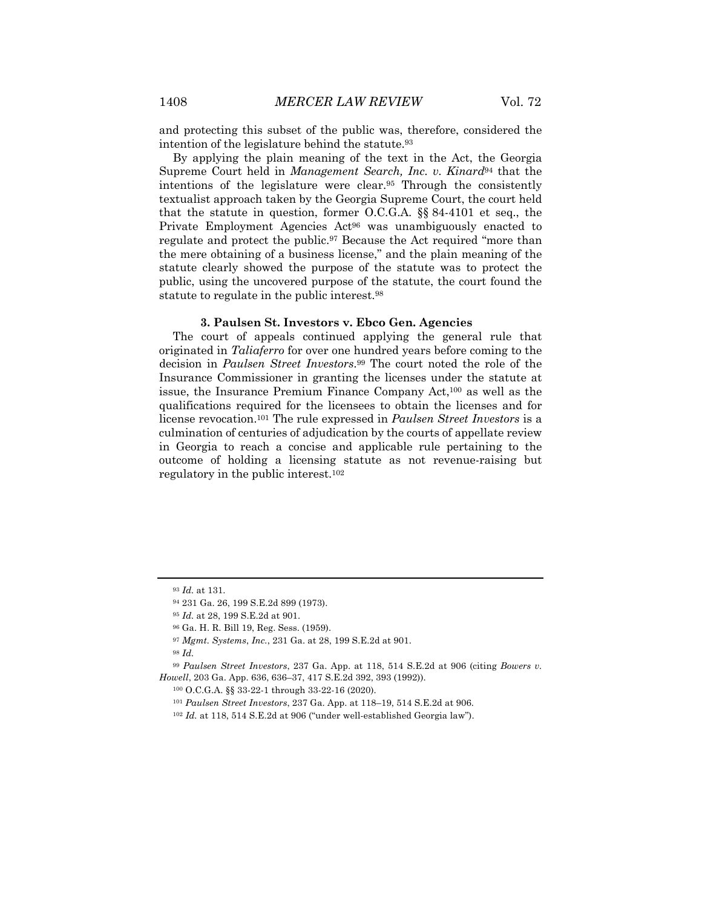and protecting this subset of the public was, therefore, considered the intention of the legislature behind the statute.93

By applying the plain meaning of the text in the Act, the Georgia Supreme Court held in *Management Search, Inc. v. Kinard*<sup>94</sup> that the intentions of the legislature were clear.95 Through the consistently textualist approach taken by the Georgia Supreme Court, the court held that the statute in question, former O.C.G.A. §§ 84-4101 et seq., the Private Employment Agencies Act<sup>96</sup> was unambiguously enacted to regulate and protect the public.97 Because the Act required "more than the mere obtaining of a business license," and the plain meaning of the statute clearly showed the purpose of the statute was to protect the public, using the uncovered purpose of the statute, the court found the statute to regulate in the public interest.98

#### **3. Paulsen St. Investors v. Ebco Gen. Agencies**

The court of appeals continued applying the general rule that originated in *Taliaferro* for over one hundred years before coming to the decision in *Paulsen Street Investors*.99 The court noted the role of the Insurance Commissioner in granting the licenses under the statute at issue, the Insurance Premium Finance Company Act,100 as well as the qualifications required for the licensees to obtain the licenses and for license revocation.101 The rule expressed in *Paulsen Street Investors* is a culmination of centuries of adjudication by the courts of appellate review in Georgia to reach a concise and applicable rule pertaining to the outcome of holding a licensing statute as not revenue-raising but regulatory in the public interest.102

<sup>98</sup> *Id.*

<sup>99</sup> *Paulsen Street Investors*, 237 Ga. App. at 118, 514 S.E.2d at 906 (citing *Bowers v. Howell*, 203 Ga. App. 636, 636–37, 417 S.E.2d 392, 393 (1992)).

<sup>93</sup> *Id.* at 131.

<sup>94</sup> 231 Ga. 26, 199 S.E.2d 899 (1973).

<sup>95</sup> *Id.* at 28, 199 S.E.2d at 901.

<sup>96</sup> Ga. H. R. Bill 19, Reg. Sess. (1959).

<sup>97</sup> *Mgmt. Systems*, *Inc.*, 231 Ga. at 28, 199 S.E.2d at 901.

<sup>100</sup> O.C.G.A. §§ 33-22-1 through 33-22-16 (2020).

<sup>101</sup> *Paulsen Street Investors*, 237 Ga. App. at 118–19, 514 S.E.2d at 906.

<sup>102</sup> *Id.* at 118, 514 S.E.2d at 906 ("under well-established Georgia law").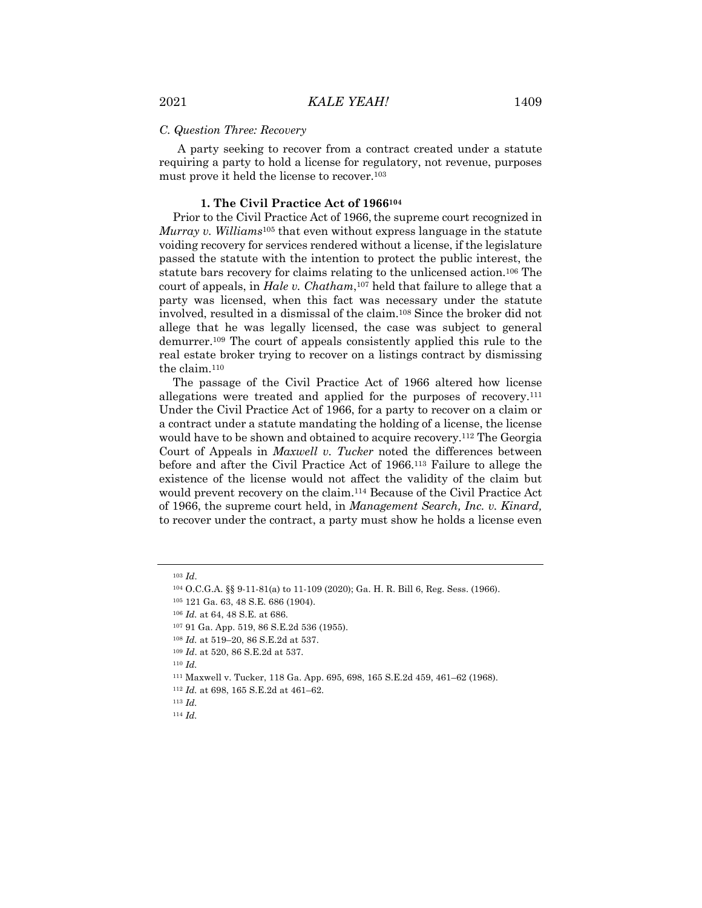#### *C. Question Three: Recovery*

A party seeking to recover from a contract created under a statute requiring a party to hold a license for regulatory, not revenue, purposes must prove it held the license to recover.103

#### **1. The Civil Practice Act of 1966104**

Prior to the Civil Practice Act of 1966, the supreme court recognized in *Murray v. Williams*<sup>105</sup> that even without express language in the statute voiding recovery for services rendered without a license, if the legislature passed the statute with the intention to protect the public interest, the statute bars recovery for claims relating to the unlicensed action.106 The court of appeals, in *Hale v. Chatham*,107 held that failure to allege that a party was licensed, when this fact was necessary under the statute involved, resulted in a dismissal of the claim.108 Since the broker did not allege that he was legally licensed, the case was subject to general demurrer.109 The court of appeals consistently applied this rule to the real estate broker trying to recover on a listings contract by dismissing the claim.110

The passage of the Civil Practice Act of 1966 altered how license allegations were treated and applied for the purposes of recovery.111 Under the Civil Practice Act of 1966, for a party to recover on a claim or a contract under a statute mandating the holding of a license, the license would have to be shown and obtained to acquire recovery.112 The Georgia Court of Appeals in *Maxwell v. Tucker* noted the differences between before and after the Civil Practice Act of 1966.113 Failure to allege the existence of the license would not affect the validity of the claim but would prevent recovery on the claim.114 Because of the Civil Practice Act of 1966, the supreme court held, in *Management Search, Inc. v. Kinard,* to recover under the contract, a party must show he holds a license even

<sup>110</sup> *Id.*

<sup>103</sup> *Id*.

<sup>104</sup> O.C.G.A. §§ 9-11-81(a) to 11-109 (2020); Ga. H. R. Bill 6, Reg. Sess. (1966).

<sup>105</sup> 121 Ga. 63, 48 S.E. 686 (1904).

<sup>106</sup> *Id.* at 64, 48 S.E. at 686.

<sup>107</sup> 91 Ga. App. 519, 86 S.E.2d 536 (1955).

<sup>108</sup> *Id.* at 519–20, 86 S.E.2d at 537.

<sup>109</sup> *Id*. at 520, 86 S.E.2d at 537.

<sup>111</sup> Maxwell v. Tucker, 118 Ga. App. 695, 698, 165 S.E.2d 459, 461–62 (1968).

<sup>112</sup> *Id.* at 698, 165 S.E.2d at 461–62.

<sup>113</sup> *Id.*

<sup>114</sup> *Id.*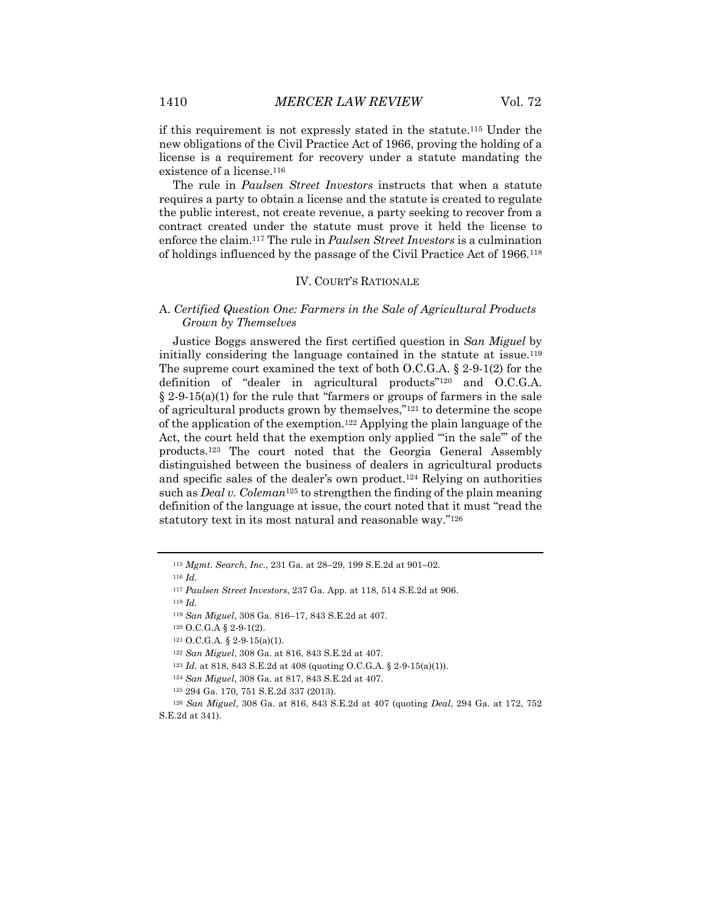if this requirement is not expressly stated in the statute.115 Under the new obligations of the Civil Practice Act of 1966, proving the holding of a license is a requirement for recovery under a statute mandating the existence of a license.116

The rule in *Paulsen Street Investors* instructs that when a statute requires a party to obtain a license and the statute is created to regulate the public interest, not create revenue, a party seeking to recover from a contract created under the statute must prove it held the license to enforce the claim.117 The rule in *Paulsen Street Investors* is a culmination of holdings influenced by the passage of the Civil Practice Act of 1966.118

#### IV. COURT'S RATIONALE

#### A. *Certified Question One: Farmers in the Sale of Agricultural Products Grown by Themselves*

Justice Boggs answered the first certified question in *San Miguel* by initially considering the language contained in the statute at issue.119 The supreme court examined the text of both O.C.G.A. § 2-9-1(2) for the definition of "dealer in agricultural products"<sup>120</sup> and O.C.G.A.  $\S 2-9-15(a)(1)$  for the rule that "farmers or groups of farmers in the sale of agricultural products grown by themselves,"121 to determine the scope of the application of the exemption.<sup>122</sup> Applying the plain language of the Act, the court held that the exemption only applied "in the sale" of the products.123 The court noted that the Georgia General Assembly distinguished between the business of dealers in agricultural products and specific sales of the dealer's own product.124 Relying on authorities such as *Deal v. Coleman*<sup>125</sup> to strengthen the finding of the plain meaning definition of the language at issue, the court noted that it must "read the statutory text in its most natural and reasonable way."126

- <sup>124</sup> *San Miguel*, 308 Ga. at 817, 843 S.E.2d at 407.
- <sup>125</sup> 294 Ga. 170, 751 S.E.2d 337 (2013).

<sup>115</sup> *Mgmt. Search*, *Inc.*, 231 Ga. at 28–29, 199 S.E.2d at 901–02.

<sup>116</sup> *Id.*

<sup>117</sup> *Paulsen Street Investors*, 237 Ga. App. at 118, 514 S.E.2d at 906.

<sup>118</sup> *Id.* 

<sup>119</sup> *San Miguel*, 308 Ga. 816–17, 843 S.E.2d at 407.

<sup>120</sup> O.C.G.A § 2-9-1(2).

 $121 \text{ O.C.G.A. }$ § 2-9-15(a)(1).

<sup>122</sup> *San Miguel*, 308 Ga. at 816, 843 S.E.2d at 407.

<sup>123</sup> *Id.* at 818, 843 S.E.2d at 408 (quoting O.C.G.A. § 2-9-15(a)(1)).

<sup>126</sup> *San Miguel*, 308 Ga. at 816, 843 S.E.2d at 407 (quoting *Deal*, 294 Ga. at 172, 752 S.E.2d at 341).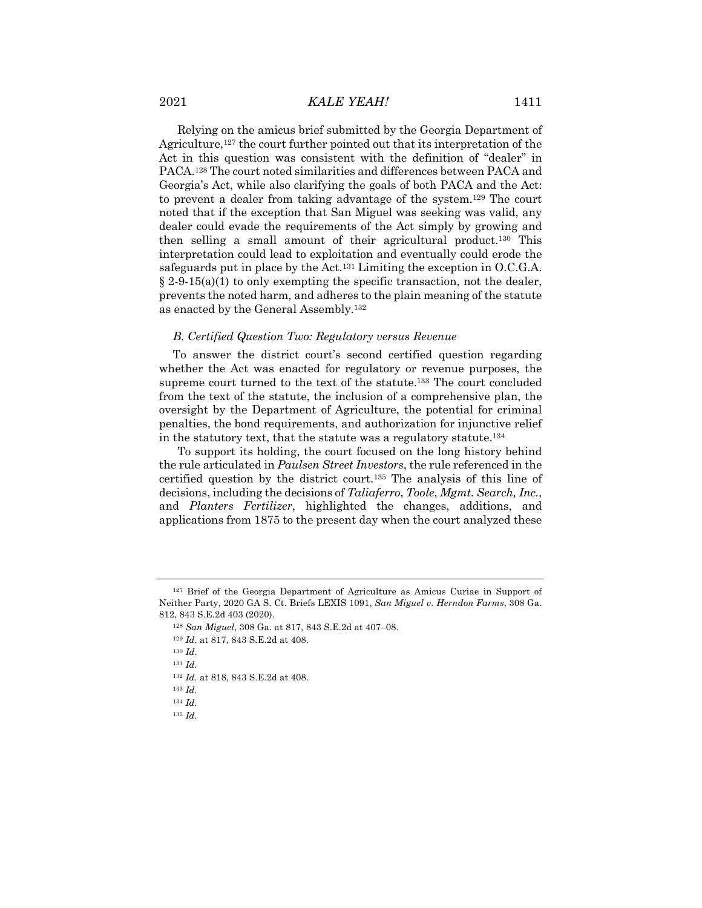Relying on the amicus brief submitted by the Georgia Department of Agriculture,127 the court further pointed out that its interpretation of the Act in this question was consistent with the definition of "dealer" in PACA.128 The court noted similarities and differences between PACA and Georgia's Act, while also clarifying the goals of both PACA and the Act: to prevent a dealer from taking advantage of the system.129 The court noted that if the exception that San Miguel was seeking was valid, any dealer could evade the requirements of the Act simply by growing and then selling a small amount of their agricultural product.130 This interpretation could lead to exploitation and eventually could erode the safeguards put in place by the Act.131 Limiting the exception in O.C.G.A.  $\S 2.9-15(a)(1)$  to only exempting the specific transaction, not the dealer, prevents the noted harm, and adheres to the plain meaning of the statute as enacted by the General Assembly.132

#### *B. Certified Question Two: Regulatory versus Revenue*

To answer the district court's second certified question regarding whether the Act was enacted for regulatory or revenue purposes, the supreme court turned to the text of the statute.133 The court concluded from the text of the statute, the inclusion of a comprehensive plan, the oversight by the Department of Agriculture, the potential for criminal penalties, the bond requirements, and authorization for injunctive relief in the statutory text, that the statute was a regulatory statute.134

To support its holding, the court focused on the long history behind the rule articulated in *Paulsen Street Investors*, the rule referenced in the certified question by the district court.135 The analysis of this line of decisions, including the decisions of *Taliaferro*, *Toole*, *Mgmt. Search, Inc.*, and *Planters Fertilizer*, highlighted the changes, additions, and applications from 1875 to the present day when the court analyzed these

<sup>129</sup> *Id*. at 817, 843 S.E.2d at 408.

<sup>&</sup>lt;sup>127</sup> Brief of the Georgia Department of Agriculture as Amicus Curiae in Support of Neither Party, 2020 GA S. Ct. Briefs LEXIS 1091, *San Miguel v. Herndon Farms*, 308 Ga. 812, 843 S.E.2d 403 (2020).

<sup>128</sup> *San Miguel*, 308 Ga. at 817, 843 S.E.2d at 407–08.

<sup>130</sup> *Id*.

<sup>131</sup> *Id.*

<sup>132</sup> *Id.* at 818, 843 S.E.2d at 408.

<sup>133</sup> *Id.*

<sup>134</sup> *Id.* 

<sup>135</sup> *Id.*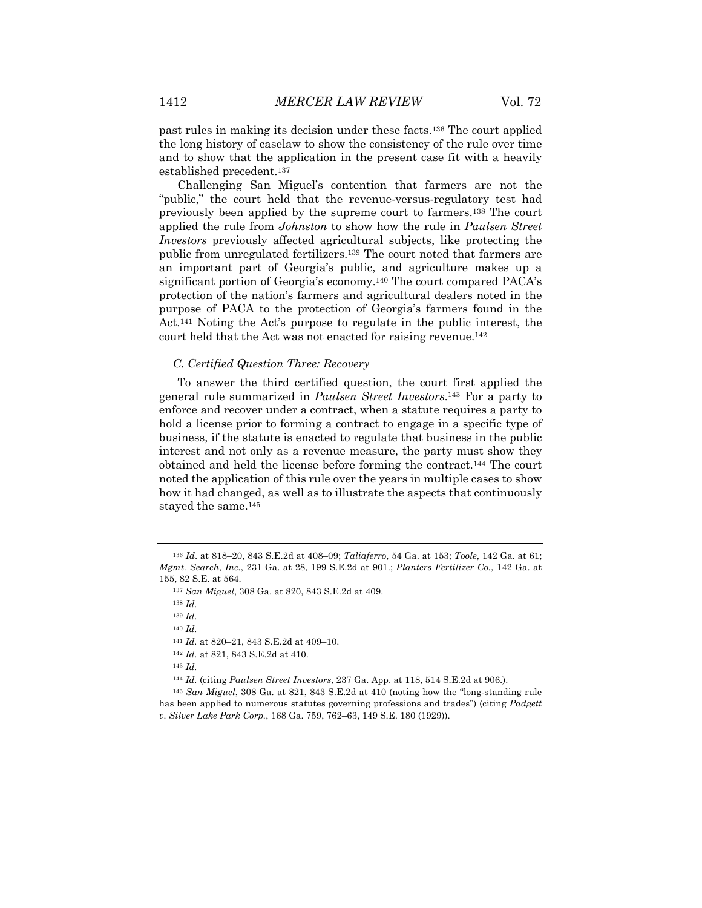past rules in making its decision under these facts.136 The court applied the long history of caselaw to show the consistency of the rule over time and to show that the application in the present case fit with a heavily established precedent.137

Challenging San Miguel's contention that farmers are not the "public," the court held that the revenue-versus-regulatory test had previously been applied by the supreme court to farmers.138 The court applied the rule from *Johnston* to show how the rule in *Paulsen Street Investors* previously affected agricultural subjects, like protecting the public from unregulated fertilizers.139 The court noted that farmers are an important part of Georgia's public, and agriculture makes up a significant portion of Georgia's economy.140 The court compared PACA's protection of the nation's farmers and agricultural dealers noted in the purpose of PACA to the protection of Georgia's farmers found in the Act.141 Noting the Act's purpose to regulate in the public interest, the court held that the Act was not enacted for raising revenue.142

#### *C. Certified Question Three: Recovery*

To answer the third certified question, the court first applied the general rule summarized in *Paulsen Street Investors*.143 For a party to enforce and recover under a contract, when a statute requires a party to hold a license prior to forming a contract to engage in a specific type of business, if the statute is enacted to regulate that business in the public interest and not only as a revenue measure, the party must show they obtained and held the license before forming the contract.144 The court noted the application of this rule over the years in multiple cases to show how it had changed, as well as to illustrate the aspects that continuously stayed the same.145

<sup>140</sup> *Id.*

<sup>143</sup> *Id.*

<sup>136</sup> *Id*. at 818–20, 843 S.E.2d at 408–09; *Taliaferro*, 54 Ga. at 153; *Toole*, 142 Ga. at 61; *Mgmt. Search*, *Inc.*, 231 Ga. at 28, 199 S.E.2d at 901.; *Planters Fertilizer Co.*, 142 Ga. at 155, 82 S.E. at 564.

<sup>137</sup> *San Miguel*, 308 Ga. at 820, 843 S.E.2d at 409.

<sup>138</sup> *Id.*

<sup>139</sup> *Id.*

<sup>141</sup> *Id.* at 820–21, 843 S.E.2d at 409–10.

<sup>142</sup> *Id.* at 821, 843 S.E.2d at 410.

<sup>144</sup> *Id.* (citing *Paulsen Street Investors*, 237 Ga. App. at 118, 514 S.E.2d at 906.).

<sup>145</sup> *San Miguel*, 308 Ga. at 821, 843 S.E.2d at 410 (noting how the "long-standing rule has been applied to numerous statutes governing professions and trades") (citing *Padgett v. Silver Lake Park Corp.*, 168 Ga. 759, 762–63, 149 S.E. 180 (1929)).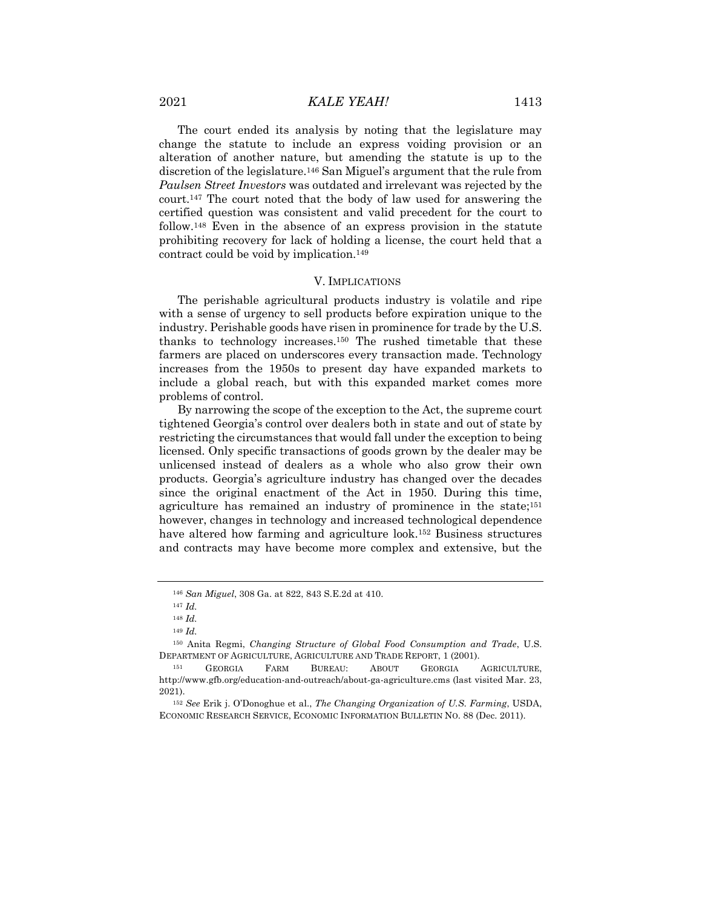The court ended its analysis by noting that the legislature may change the statute to include an express voiding provision or an alteration of another nature, but amending the statute is up to the discretion of the legislature.146 San Miguel's argument that the rule from *Paulsen Street Investors* was outdated and irrelevant was rejected by the court.147 The court noted that the body of law used for answering the certified question was consistent and valid precedent for the court to follow.148 Even in the absence of an express provision in the statute prohibiting recovery for lack of holding a license, the court held that a contract could be void by implication.149

#### V. IMPLICATIONS

The perishable agricultural products industry is volatile and ripe with a sense of urgency to sell products before expiration unique to the industry. Perishable goods have risen in prominence for trade by the U.S. thanks to technology increases.150 The rushed timetable that these farmers are placed on underscores every transaction made. Technology increases from the 1950s to present day have expanded markets to include a global reach, but with this expanded market comes more problems of control.

By narrowing the scope of the exception to the Act, the supreme court tightened Georgia's control over dealers both in state and out of state by restricting the circumstances that would fall under the exception to being licensed. Only specific transactions of goods grown by the dealer may be unlicensed instead of dealers as a whole who also grow their own products. Georgia's agriculture industry has changed over the decades since the original enactment of the Act in 1950. During this time, agriculture has remained an industry of prominence in the state;151 however, changes in technology and increased technological dependence have altered how farming and agriculture look.152 Business structures and contracts may have become more complex and extensive, but the

<sup>146</sup> *San Miguel*, 308 Ga. at 822, 843 S.E.2d at 410.

<sup>147</sup> *Id.*

<sup>148</sup> *Id.*

<sup>149</sup> *Id.*

<sup>150</sup> Anita Regmi, *Changing Structure of Global Food Consumption and Trade*, U.S. DEPARTMENT OF AGRICULTURE, AGRICULTURE AND TRADE REPORT, 1 (2001).

<sup>151</sup> GEORGIA FARM BUREAU: ABOUT GEORGIA AGRICULTURE, http://www.gfb.org/education-and-outreach/about-ga-agriculture.cms (last visited Mar. 23, 2021).

<sup>152</sup> *See* Erik j. O'Donoghue et al., *The Changing Organization of U.S. Farming*, USDA, ECONOMIC RESEARCH SERVICE, ECONOMIC INFORMATION BULLETIN NO. 88 (Dec. 2011).